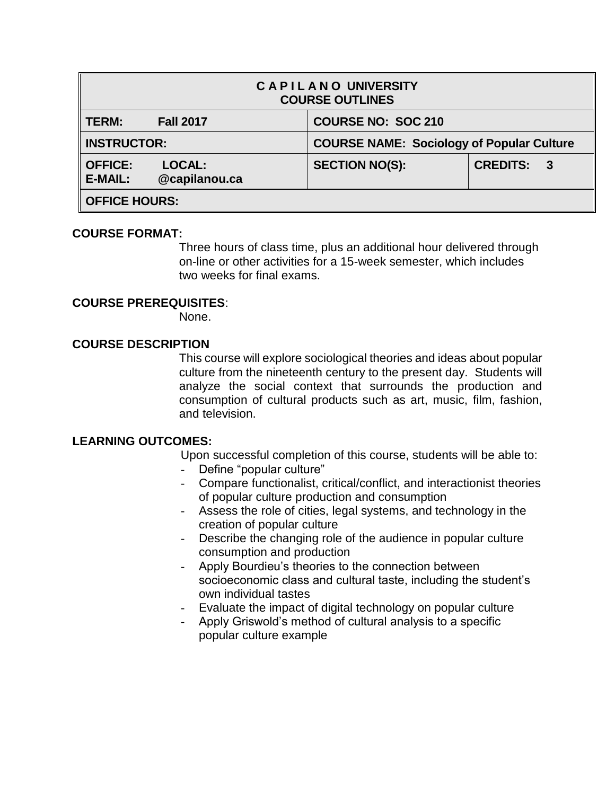| <b>CAPILANO UNIVERSITY</b><br><b>COURSE OUTLINES</b> |                         |                                                  |                 |              |  |
|------------------------------------------------------|-------------------------|--------------------------------------------------|-----------------|--------------|--|
| <b>TERM:</b>                                         | <b>Fall 2017</b>        | <b>COURSE NO: SOC 210</b>                        |                 |              |  |
| <b>INSTRUCTOR:</b>                                   |                         | <b>COURSE NAME: Sociology of Popular Culture</b> |                 |              |  |
| $\parallel$ OFFICE:<br><b>E-MAIL:</b>                | LOCAL:<br>@capilanou.ca | <b>SECTION NO(S):</b>                            | <b>CREDITS:</b> | $\mathbf{3}$ |  |
| OFFICE HOURS:                                        |                         |                                                  |                 |              |  |

#### **COURSE FORMAT:**

Three hours of class time, plus an additional hour delivered through on-line or other activities for a 15-week semester, which includes two weeks for final exams.

#### **COURSE PREREQUISITES**:

None.

## **COURSE DESCRIPTION**

This course will explore sociological theories and ideas about popular culture from the nineteenth century to the present day. Students will analyze the social context that surrounds the production and consumption of cultural products such as art, music, film, fashion, and television.

### **LEARNING OUTCOMES:**

Upon successful completion of this course, students will be able to:

- Define "popular culture"
- Compare functionalist, critical/conflict, and interactionist theories of popular culture production and consumption
- Assess the role of cities, legal systems, and technology in the creation of popular culture
- Describe the changing role of the audience in popular culture consumption and production
- Apply Bourdieu's theories to the connection between socioeconomic class and cultural taste, including the student's own individual tastes
- Evaluate the impact of digital technology on popular culture
- Apply Griswold's method of cultural analysis to a specific popular culture example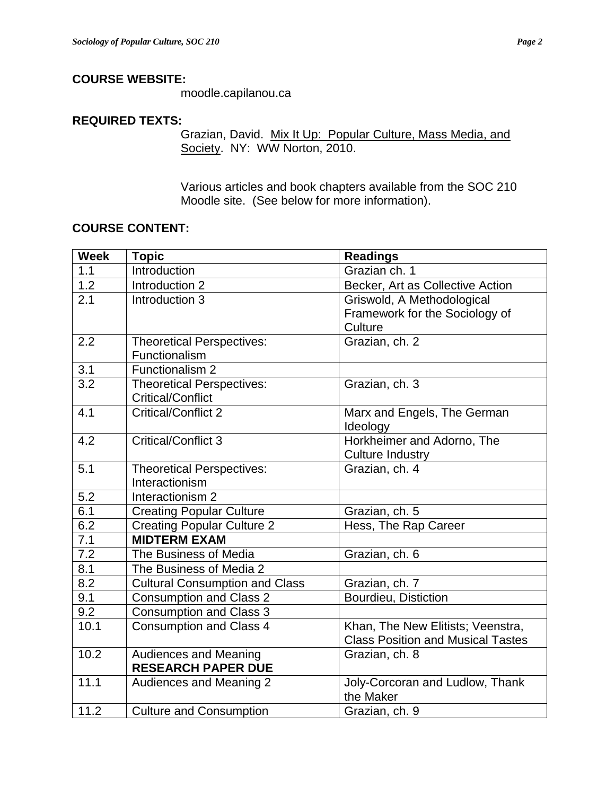# **COURSE WEBSITE:**

moodle.capilanou.ca

### **REQUIRED TEXTS:**

Grazian, David. Mix It Up: Popular Culture, Mass Media, and Society. NY: WW Norton, 2010.

Various articles and book chapters available from the SOC 210 Moodle site. (See below for more information).

### **COURSE CONTENT:**

| <b>Week</b>      | <b>Topic</b>                          | <b>Readings</b>                          |
|------------------|---------------------------------------|------------------------------------------|
| 1.1              | Introduction                          | Grazian ch. 1                            |
| $\overline{1.2}$ | Introduction 2                        | Becker, Art as Collective Action         |
| 2.1              | Introduction 3                        | Griswold, A Methodological               |
|                  |                                       | Framework for the Sociology of           |
|                  |                                       | Culture                                  |
| 2.2              | <b>Theoretical Perspectives:</b>      | Grazian, ch. 2                           |
|                  | Functionalism                         |                                          |
| 3.1              | Functionalism 2                       |                                          |
| $\overline{3.2}$ | <b>Theoretical Perspectives:</b>      | Grazian, ch. 3                           |
|                  | <b>Critical/Conflict</b>              |                                          |
| $\overline{4.1}$ | <b>Critical/Conflict 2</b>            | Marx and Engels, The German              |
|                  |                                       | Ideology                                 |
| 4.2              | <b>Critical/Conflict 3</b>            | Horkheimer and Adorno, The               |
|                  |                                       | <b>Culture Industry</b>                  |
| 5.1              | <b>Theoretical Perspectives:</b>      | Grazian, ch. 4                           |
|                  | Interactionism                        |                                          |
| 5.2              | Interactionism 2                      |                                          |
| 6.1              | <b>Creating Popular Culture</b>       | Grazian, ch. 5                           |
| 6.2              | <b>Creating Popular Culture 2</b>     | Hess, The Rap Career                     |
| 7.1              | <b>MIDTERM EXAM</b>                   |                                          |
| $\overline{7.2}$ | The Business of Media                 | Grazian, ch. 6                           |
| 8.1              | The Business of Media 2               |                                          |
| 8.2              | <b>Cultural Consumption and Class</b> | Grazian, ch. 7                           |
| 9.1              | <b>Consumption and Class 2</b>        | Bourdieu, Distiction                     |
| 9.2              | Consumption and Class 3               |                                          |
| 10.1             | <b>Consumption and Class 4</b>        | Khan, The New Elitists; Veenstra,        |
|                  |                                       | <b>Class Position and Musical Tastes</b> |
| 10.2             | <b>Audiences and Meaning</b>          | Grazian, ch. 8                           |
|                  | <b>RESEARCH PAPER DUE</b>             |                                          |
| 11.1             | Audiences and Meaning 2               | Joly-Corcoran and Ludlow, Thank          |
|                  |                                       | the Maker                                |
| 11.2             | <b>Culture and Consumption</b>        | Grazian, ch. 9                           |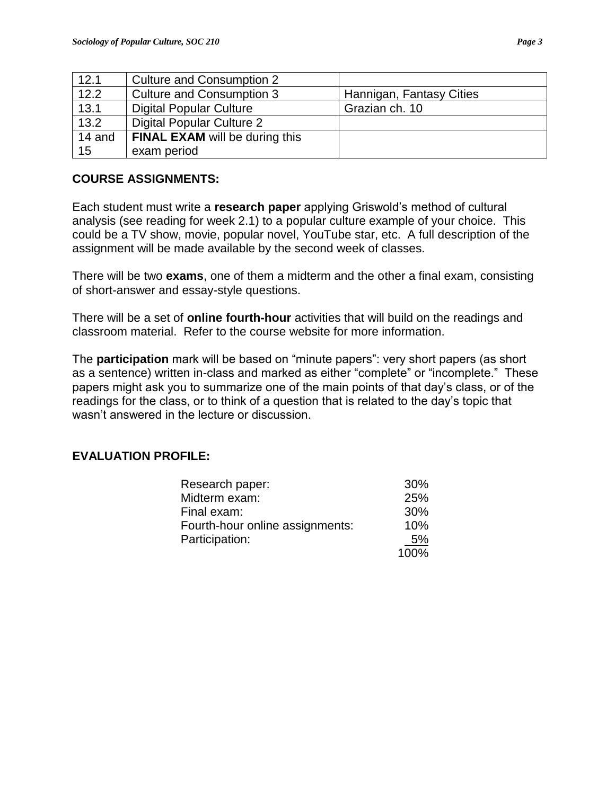| 12.1   | <b>Culture and Consumption 2</b>      |                          |
|--------|---------------------------------------|--------------------------|
| 12.2   | <b>Culture and Consumption 3</b>      | Hannigan, Fantasy Cities |
| 13.1   | <b>Digital Popular Culture</b>        | Grazian ch. 10           |
| 13.2   | Digital Popular Culture 2             |                          |
| 14 and | <b>FINAL EXAM will be during this</b> |                          |
| 15     | exam period                           |                          |

# **COURSE ASSIGNMENTS:**

Each student must write a **research paper** applying Griswold's method of cultural analysis (see reading for week 2.1) to a popular culture example of your choice. This could be a TV show, movie, popular novel, YouTube star, etc. A full description of the assignment will be made available by the second week of classes.

There will be two **exams**, one of them a midterm and the other a final exam, consisting of short-answer and essay-style questions.

There will be a set of **online fourth-hour** activities that will build on the readings and classroom material. Refer to the course website for more information.

The **participation** mark will be based on "minute papers": very short papers (as short as a sentence) written in-class and marked as either "complete" or "incomplete." These papers might ask you to summarize one of the main points of that day's class, or of the readings for the class, or to think of a question that is related to the day's topic that wasn't answered in the lecture or discussion.

# **EVALUATION PROFILE:**

| Research paper:                 | 30%        |
|---------------------------------|------------|
| Midterm exam:                   | <b>25%</b> |
| Final exam:                     | 30%        |
| Fourth-hour online assignments: | 10%        |
| Participation:                  | .5%        |
|                                 | 100%       |